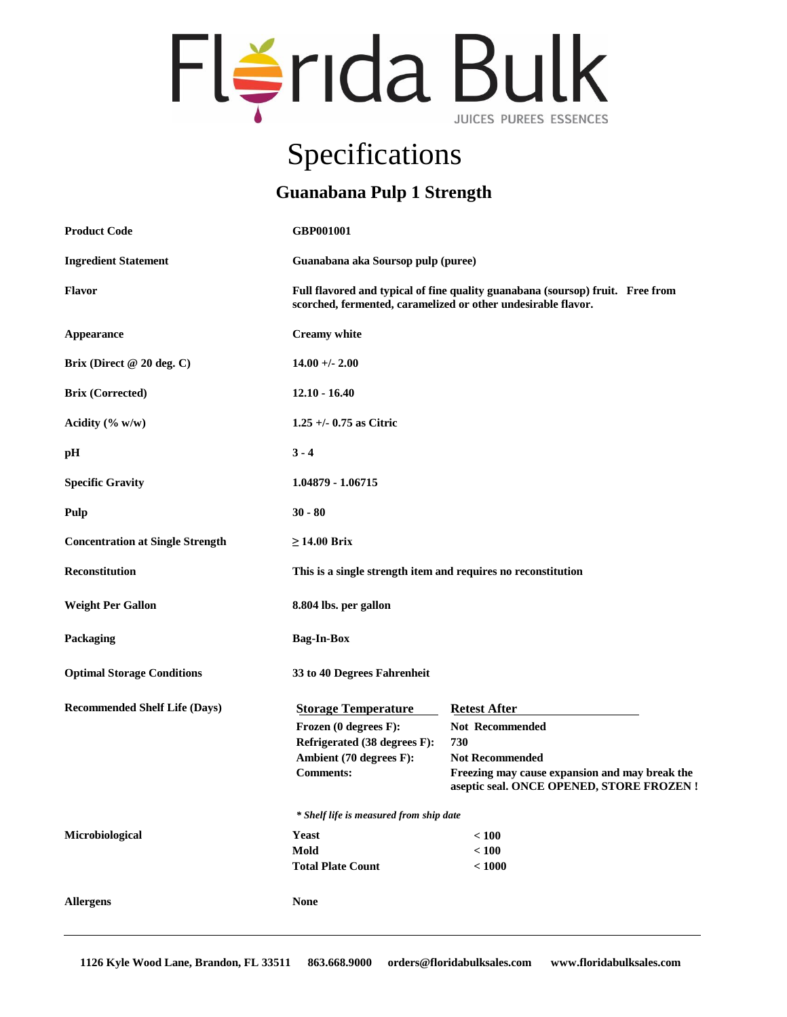# Flérida Bulk

## Specifications

#### **Guanabana Pulp 1 Strength**

| <b>Product Code</b>                     | GBP001001                                                                                                                                       |                                                                                                                                                                               |
|-----------------------------------------|-------------------------------------------------------------------------------------------------------------------------------------------------|-------------------------------------------------------------------------------------------------------------------------------------------------------------------------------|
| <b>Ingredient Statement</b>             | Guanabana aka Soursop pulp (puree)                                                                                                              |                                                                                                                                                                               |
| <b>Flavor</b>                           | Full flavored and typical of fine quality guanabana (soursop) fruit. Free from<br>scorched, fermented, caramelized or other undesirable flavor. |                                                                                                                                                                               |
| <b>Appearance</b>                       | <b>Creamy</b> white                                                                                                                             |                                                                                                                                                                               |
| Brix (Direct @ 20 deg. C)               | $14.00 +/- 2.00$                                                                                                                                |                                                                                                                                                                               |
| <b>Brix (Corrected)</b>                 | $12.10 - 16.40$                                                                                                                                 |                                                                                                                                                                               |
| Acidity (% w/w)                         | $1.25 + (-0.75$ as Citric                                                                                                                       |                                                                                                                                                                               |
| pН                                      | $3 - 4$                                                                                                                                         |                                                                                                                                                                               |
| <b>Specific Gravity</b>                 | 1.04879 - 1.06715                                                                                                                               |                                                                                                                                                                               |
| Pulp                                    | $30 - 80$                                                                                                                                       |                                                                                                                                                                               |
| <b>Concentration at Single Strength</b> | $\geq$ 14.00 Brix                                                                                                                               |                                                                                                                                                                               |
| <b>Reconstitution</b>                   | This is a single strength item and requires no reconstitution                                                                                   |                                                                                                                                                                               |
| <b>Weight Per Gallon</b>                | 8.804 lbs. per gallon                                                                                                                           |                                                                                                                                                                               |
| Packaging                               | <b>Bag-In-Box</b>                                                                                                                               |                                                                                                                                                                               |
| <b>Optimal Storage Conditions</b>       | 33 to 40 Degrees Fahrenheit                                                                                                                     |                                                                                                                                                                               |
| <b>Recommended Shelf Life (Days)</b>    | <b>Storage Temperature</b><br>Frozen (0 degrees F):<br>Refrigerated (38 degrees F):<br>Ambient (70 degrees F):<br><b>Comments:</b>              | <b>Retest After</b><br><b>Not Recommended</b><br>730<br><b>Not Recommended</b><br>Freezing may cause expansion and may break the<br>aseptic seal. ONCE OPENED, STORE FROZEN ! |
|                                         | * Shelf life is measured from ship date                                                                                                         |                                                                                                                                                                               |
| Microbiological                         | <b>Yeast</b><br>Mold<br><b>Total Plate Count</b>                                                                                                | < 100<br>$<100$<br>< 1000                                                                                                                                                     |
| <b>Allergens</b>                        | <b>None</b>                                                                                                                                     |                                                                                                                                                                               |